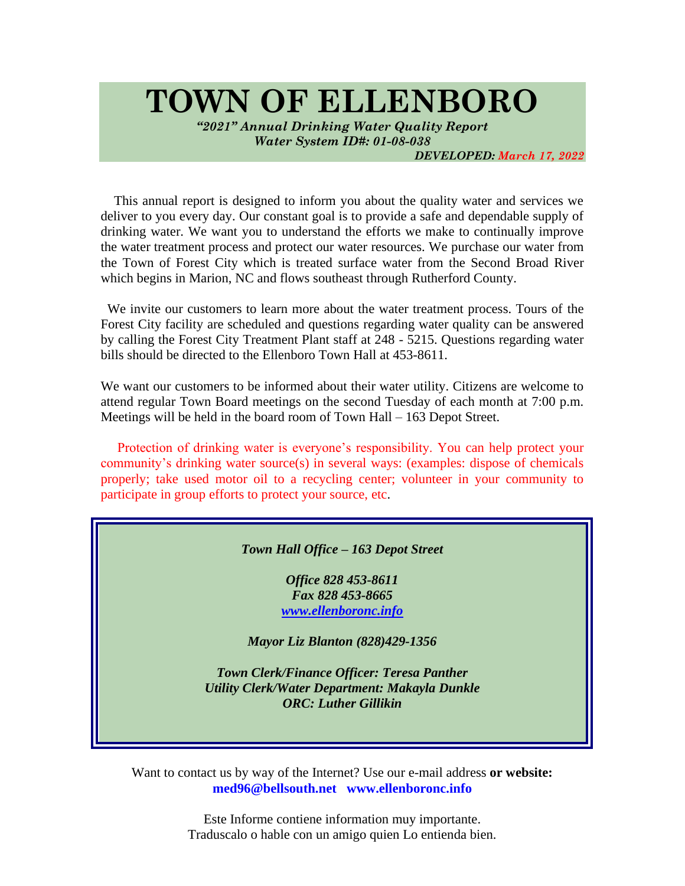# **TOWN OF ELLENBORO**

*"2021" Annual Drinking Water Quality Report Water System ID#: 01-08-038*

*DEVELOPED: March 17, 2022*

This annual report is designed to inform you about the quality water and services we deliver to you every day. Our constant goal is to provide a safe and dependable supply of drinking water. We want you to understand the efforts we make to continually improve the water treatment process and protect our water resources. We purchase our water from the Town of Forest City which is treated surface water from the Second Broad River which begins in Marion, NC and flows southeast through Rutherford County.

 We invite our customers to learn more about the water treatment process. Tours of the Forest City facility are scheduled and questions regarding water quality can be answered by calling the Forest City Treatment Plant staff at 248 - 5215. Questions regarding water bills should be directed to the Ellenboro Town Hall at 453-8611.

We want our customers to be informed about their water utility. Citizens are welcome to attend regular Town Board meetings on the second Tuesday of each month at 7:00 p.m. Meetings will be held in the board room of Town Hall – 163 Depot Street.

 Protection of drinking water is everyone's responsibility. You can help protect your community's drinking water source(s) in several ways: (examples: dispose of chemicals properly; take used motor oil to a recycling center; volunteer in your community to participate in group efforts to protect your source, etc.

#### *Town Hall Office – 163 Depot Street*

*Office 828 453-8611 Fax 828 453-8665 [www.ellenboronc.info](http://www.ellenboronc.info/)*

*Mayor Liz Blanton (828)429-1356*

*Town Clerk/Finance Officer: Teresa Panther Utility Clerk/Water Department: Makayla Dunkle ORC: Luther Gillikin*

Want to contact us by way of the Internet? Use our e-mail address **or website: med96@bellsouth.net www.ellenboronc.info**

> Este Informe contiene information muy importante. Traduscalo o hable con un amigo quien Lo entienda bien.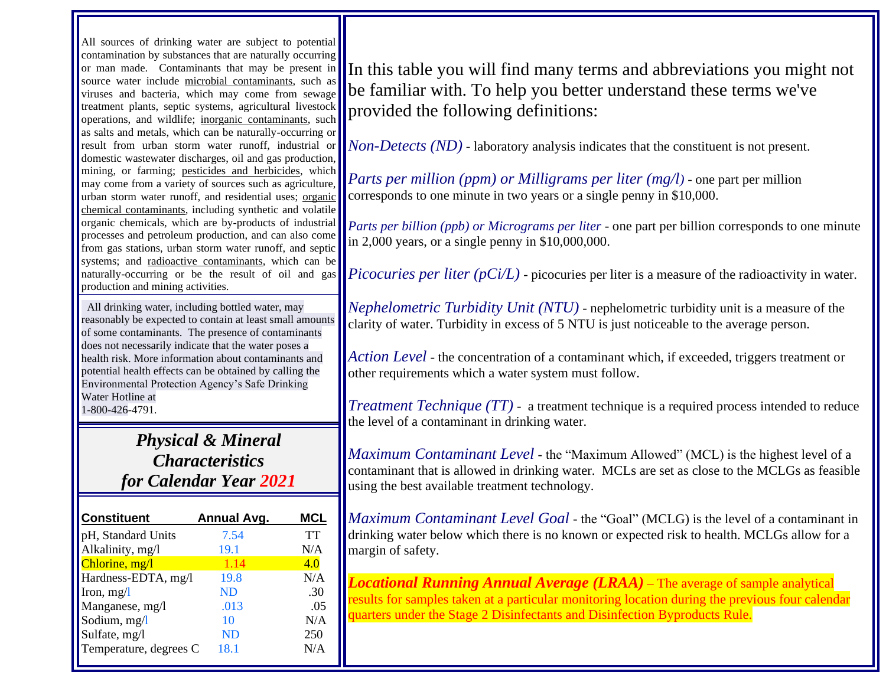All sources of drinking water are subject to potential contamination by substances that are naturally occurring or man made. Contaminants that may be present in source water include microbial contaminants, such as viruses and bacteria, which may come from sewage treatment plants, septic systems, agricultural livestock operations, and wildlife; inorganic contaminants, such as salts and metals, which can be naturally-occurring or result from urban storm water runoff, industrial or domestic wastewater discharges, oil and gas production, mining, or farming; pesticides and herbicides, which may come from a variety of sources such as agriculture, urban storm water runoff, and residential uses; organic chemical contaminants, including synthetic and volatile organic chemicals, which are by-products of industrial processes and petroleum production, and can also come from gas stations, urban storm water runoff, and septic systems; and radioactive contaminants, which can be naturally-occurring or be the result of oil and gas production and mining activities.

 All drinking water, including bottled water, may reasonably be expected to contain at least small amounts of some contaminants. The presence of contaminants does not necessarily indicate that the water poses a health risk. More information about contaminants and potential health effects can be obtained by calling the Environmental Protection Agency's Safe Drinking Water Hotline at 1-800-426-4791.

> *Physical & Mineral Characteristics for Calendar Year 2021*

| <b>Constituent</b>     | Annual Avg. | <b>MCL</b> |
|------------------------|-------------|------------|
| pH, Standard Units     | 7.54        | TT         |
| Alkalinity, mg/l       | 19.1        | N/A        |
| Chlorine, mg/l         | 1.14        | 4.0        |
| Hardness-EDTA, mg/l    | 19.8        | N/A        |
| Iron, $mg/l$           | ND          | .30        |
| Manganese, mg/l        | .013        | .05        |
| Sodium, mg/l           | 10          | N/A        |
| Sulfate, mg/l          | ND          | 250        |
| Temperature, degrees C | 18.1        | N/A        |

In this table you will find many terms and abbreviations you might not be familiar with. To help you better understand these terms we've provided the following definitions:

*Non-Detects (ND)* - laboratory analysis indicates that the constituent is not present.

*Parts per million (ppm) or Milligrams per liter (mg/l)* - one part per million corresponds to one minute in two years or a single penny in \$10,000.

*Parts per billion (ppb) or Micrograms per liter* - one part per billion corresponds to one minute in 2,000 years, or a single penny in \$10,000,000.

*Picocuries per liter (pCi/L)* - picocuries per liter is a measure of the radioactivity in water.

*Nephelometric Turbidity Unit (NTU)* - nephelometric turbidity unit is a measure of the clarity of water. Turbidity in excess of 5 NTU is just noticeable to the average person.

*Action Level* - the concentration of a contaminant which, if exceeded, triggers treatment or other requirements which a water system must follow.

*Treatment Technique (TT)* - a treatment technique is a required process intended to reduce the level of a contaminant in drinking water.

*Maximum Contaminant Level* - the "Maximum Allowed" (MCL) is the highest level of a contaminant that is allowed in drinking water. MCLs are set as close to the MCLGs as feasible using the best available treatment technology.

*Maximum Contaminant Level Goal* - the "Goal" (MCLG) is the level of a contaminant in drinking water below which there is no known or expected risk to health. MCLGs allow for a margin of safety.

*Locational Running Annual Average (LRAA)* – The average of sample analytical results for samples taken at a particular monitoring location during the previous four calendar quarters under the Stage 2 Disinfectants and Disinfection Byproducts Rule.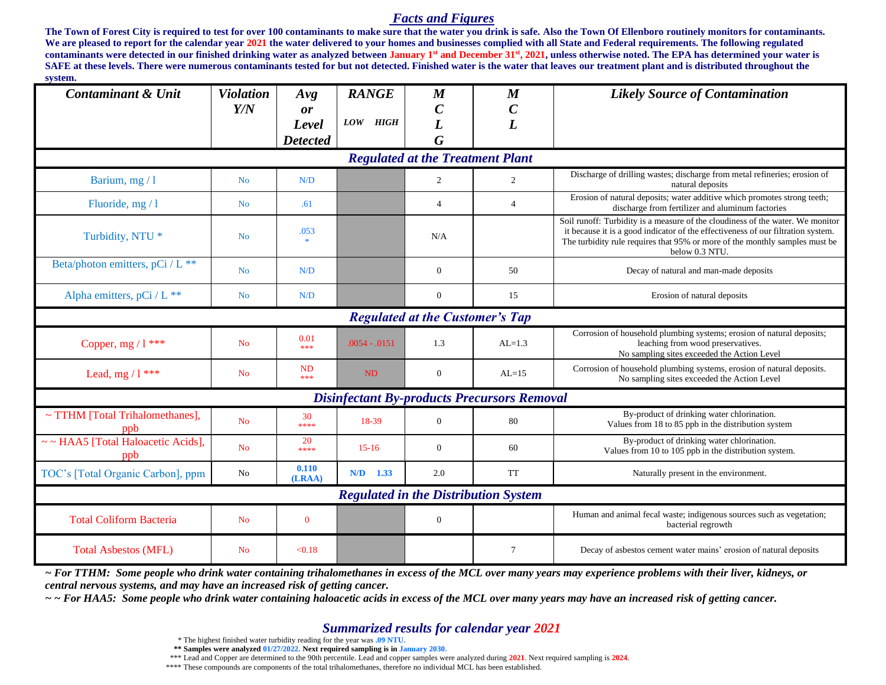#### *Facts and Figures*

**The Town of Forest City is required to test for over 100 contaminants to make sure that the water you drink is safe. Also the Town Of Ellenboro routinely monitors for contaminants.** We are pleased to report for the calendar year 2021 the water delivered to your homes and businesses complied with all State and Federal requirements. The following regulated **contaminants were detected in our finished drinking water as analyzed between January 1st and December 31st , 2021, unless otherwise noted. The EPA has determined your water is**  SAFE at these levels. There were numerous contaminants tested for but not detected. Finished water is the water that leaves our treatment plant and is distributed throughout the **system.**

| бумени,<br><b>Contaminant &amp; Unit</b>           | <b>Violation</b> | Avg                   | <b>RANGE</b>  | $\boldsymbol{M}$ | $\boldsymbol{M}$                            | <b>Likely Source of Contamination</b>                                                                                                                                                                                                                               |  |  |  |
|----------------------------------------------------|------------------|-----------------------|---------------|------------------|---------------------------------------------|---------------------------------------------------------------------------------------------------------------------------------------------------------------------------------------------------------------------------------------------------------------------|--|--|--|
|                                                    | Y/N              | or                    |               | $\pmb{C}$        | $\boldsymbol{C}$                            |                                                                                                                                                                                                                                                                     |  |  |  |
|                                                    |                  | Level                 | LOW HIGH      | L                | $\overline{L}$                              |                                                                                                                                                                                                                                                                     |  |  |  |
|                                                    |                  | <b>Detected</b>       |               | G                |                                             |                                                                                                                                                                                                                                                                     |  |  |  |
| <b>Regulated at the Treatment Plant</b>            |                  |                       |               |                  |                                             |                                                                                                                                                                                                                                                                     |  |  |  |
| Barium, mg / 1                                     | N <sub>o</sub>   | N/D                   |               | 2                | $\overline{2}$                              | Discharge of drilling wastes; discharge from metal refineries; erosion of<br>natural deposits                                                                                                                                                                       |  |  |  |
| Fluoride, $mg/1$                                   | N <sub>o</sub>   | .61                   |               | $\overline{4}$   | $\overline{4}$                              | Erosion of natural deposits; water additive which promotes strong teeth;<br>discharge from fertilizer and aluminum factories                                                                                                                                        |  |  |  |
| Turbidity, NTU *                                   | N <sub>o</sub>   | .053<br>$\frac{1}{2}$ |               | N/A              |                                             | Soil runoff: Turbidity is a measure of the cloudiness of the water. We monitor<br>it because it is a good indicator of the effectiveness of our filtration system.<br>The turbidity rule requires that 95% or more of the monthly samples must be<br>below 0.3 NTU. |  |  |  |
| Beta/photon emitters, pCi / L **                   | N <sub>o</sub>   | N/D                   |               | $\overline{0}$   | 50                                          | Decay of natural and man-made deposits                                                                                                                                                                                                                              |  |  |  |
| Alpha emitters, pCi / L **                         | N <sub>o</sub>   | N/D                   |               | $\overline{0}$   | 15                                          | Erosion of natural deposits                                                                                                                                                                                                                                         |  |  |  |
| <b>Regulated at the Customer's Tap</b>             |                  |                       |               |                  |                                             |                                                                                                                                                                                                                                                                     |  |  |  |
| Copper, mg $/1$ ***                                | N <sub>o</sub>   | 0.01<br>***           | $.0054-.0151$ | 1.3              | $AL=1.3$                                    | Corrosion of household plumbing systems; erosion of natural deposits;<br>leaching from wood preservatives.<br>No sampling sites exceeded the Action Level                                                                                                           |  |  |  |
| Lead, mg $/1$ ***                                  | N <sub>o</sub>   | <b>ND</b><br>***      | ND            | $\overline{0}$   | $AL=15$                                     | Corrosion of household plumbing systems, erosion of natural deposits.<br>No sampling sites exceeded the Action Level                                                                                                                                                |  |  |  |
| <b>Disinfectant By-products Precursors Removal</b> |                  |                       |               |                  |                                             |                                                                                                                                                                                                                                                                     |  |  |  |
| ~ TTHM [Total Trihalomethanes],<br>ppb             | N <sub>o</sub>   | 30<br>****            | 18-39         | $\overline{0}$   | 80                                          | By-product of drinking water chlorination.<br>Values from 18 to 85 ppb in the distribution system                                                                                                                                                                   |  |  |  |
| ~~ HAA5 [Total Haloacetic Acids],<br>ppb           | N <sub>o</sub>   | 20<br>****            | $15-16$       | $\overline{0}$   | 60                                          | By-product of drinking water chlorination.<br>Values from 10 to 105 ppb in the distribution system.                                                                                                                                                                 |  |  |  |
| TOC's [Total Organic Carbon], ppm                  | No               | 0.110<br>(LRAA)       | $N/D$ 1.33    | 2.0              | <b>TT</b>                                   | Naturally present in the environment.                                                                                                                                                                                                                               |  |  |  |
|                                                    |                  |                       |               |                  | <b>Regulated in the Distribution System</b> |                                                                                                                                                                                                                                                                     |  |  |  |
| <b>Total Coliform Bacteria</b>                     | N <sub>o</sub>   | $\bf{0}$              |               | $\overline{0}$   |                                             | Human and animal fecal waste; indigenous sources such as vegetation;<br>bacterial regrowth                                                                                                                                                                          |  |  |  |
| <b>Total Asbestos (MFL)</b>                        | N <sub>o</sub>   | < 0.18                |               |                  | $\overline{7}$                              | Decay of asbestos cement water mains' erosion of natural deposits                                                                                                                                                                                                   |  |  |  |

*~ For TTHM: Some people who drink water containing trihalomethanes in excess of the MCL over many years may experience problems with their liver, kidneys, or central nervous systems, and may have an increased risk of getting cancer.*

*~ ~ For HAA5: Some people who drink water containing haloacetic acids in excess of the MCL over many years may have an increased risk of getting cancer.*

#### *Summarized results for calendar year 2021*

\* The highest finished water turbidity reading for the year was **.09 NTU.**

 **\*\* Samples were analyzed 01/27/2022. Next required sampling is in January 2030.**

\*\*\* Lead and Copper are determined to the 90th percentile. Lead and copper samples were analyzed during **2021**. Next required sampling is **2024**.

\*\*\*\* These compounds are components of the total trihalomethanes, therefore no individual MCL has been established.